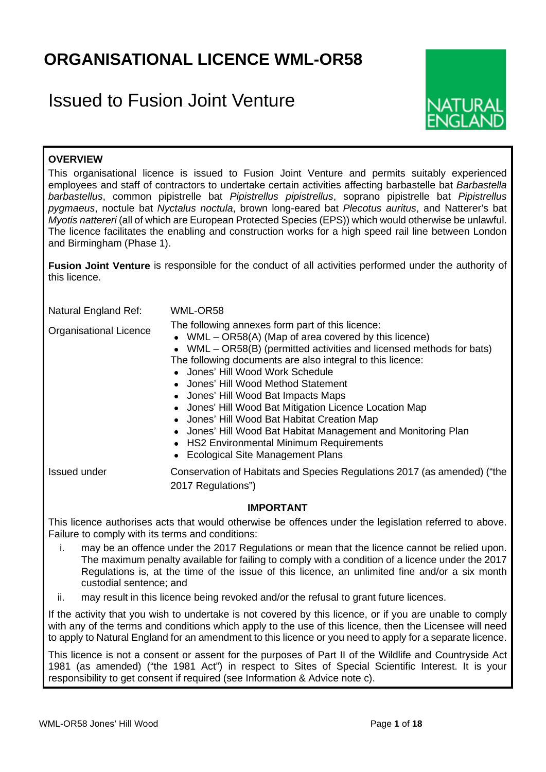# **ORGANISATIONAL LICENCE WML-OR58**

# Issued to Fusion Joint Venture



# **OVERVIEW**

This organisational licence is issued to Fusion Joint Venture and permits suitably experienced employees and staff of contractors to undertake certain activities affecting barbastelle bat *Barbastella barbastellus*, common pipistrelle bat *Pipistrellus pipistrellus*, soprano pipistrelle bat *Pipistrellus pygmaeus*, noctule bat *Nyctalus noctula*, brown long-eared bat *Plecotus auritus*, and Natterer's bat *Myotis nattereri* (all of which are European Protected Species (EPS)) which would otherwise be unlawful. The licence facilitates the enabling and construction works for a high speed rail line between London and Birmingham (Phase 1).

**Fusion Joint Venture** is responsible for the conduct of all activities performed under the authority of this licence.

Natural England Ref: WML-OR58

Organisational Licence The following annexes form part of this licence:

• WML – OR58(A) (Map of area covered by this licence)

• WML – OR58(B) (permitted activities and licensed methods for bats) The following documents are also integral to this licence:

- Jones' Hill Wood Work Schedule
- Jones' Hill Wood Method Statement
- Jones' Hill Wood Bat Impacts Maps
- Jones' Hill Wood Bat Mitigation Licence Location Map
- Jones' Hill Wood Bat Habitat Creation Map
- Jones' Hill Wood Bat Habitat Management and Monitoring Plan
- HS2 Environmental Minimum Requirements
- Ecological Site Management Plans

Issued under Conservation of Habitats and Species Regulations 2017 (as amended) ("the 2017 Regulations")

### **IMPORTANT**

This licence authorises acts that would otherwise be offences under the legislation referred to above. Failure to comply with its terms and conditions:

- i. may be an offence under the 2017 Regulations or mean that the licence cannot be relied upon. The maximum penalty available for failing to comply with a condition of a licence under the 2017 Regulations is, at the time of the issue of this licence, an unlimited fine and/or a six month custodial sentence; and
- ii. may result in this licence being revoked and/or the refusal to grant future licences.

If the activity that you wish to undertake is not covered by this licence, or if you are unable to comply with any of the terms and conditions which apply to the use of this licence, then the Licensee will need to apply to Natural England for an amendment to this licence or you need to apply for a separate licence.

This licence is not a consent or assent for the purposes of Part II of the Wildlife and Countryside Act 1981 (as amended) ("the 1981 Act") in respect to Sites of Special Scientific Interest. It is your responsibility to get consent if required (see Information & Advice note c).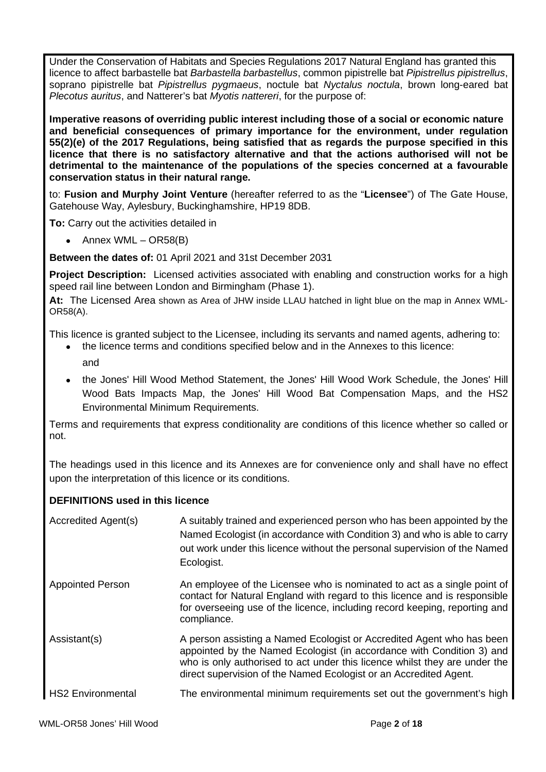Under the Conservation of Habitats and Species Regulations 2017 Natural England has granted this licence to affect barbastelle bat *Barbastella barbastellus*, common pipistrelle bat *Pipistrellus pipistrellus*, soprano pipistrelle bat *Pipistrellus pygmaeus*, noctule bat *Nyctalus noctula*, brown long-eared bat *Plecotus auritus*, and Natterer's bat *Myotis nattereri*, for the purpose of:

**Imperative reasons of overriding public interest including those of a social or economic nature and beneficial consequences of primary importance for the environment, under regulation 55(2)(e) of the 2017 Regulations, being satisfied that as regards the purpose specified in this licence that there is no satisfactory alternative and that the actions authorised will not be detrimental to the maintenance of the populations of the species concerned at a favourable conservation status in their natural range.**

to: **Fusion and Murphy Joint Venture** (hereafter referred to as the "**Licensee**") of The Gate House, Gatehouse Way, Aylesbury, Buckinghamshire, HP19 8DB.

**To:** Carry out the activities detailed in

• Annex WML – OR58(B)

**Between the dates of:** 01 April 2021 and 31st December 2031

**Project Description:** Licensed activities associated with enabling and construction works for a high speed rail line between London and Birmingham (Phase 1).

**At:** The Licensed Area shown as Area of JHW inside LLAU hatched in light blue on the map in Annex WML-OR58(A).

This licence is granted subject to the Licensee, including its servants and named agents, adhering to:

- the licence terms and conditions specified below and in the Annexes to this licence:
	- and
	- the Jones' Hill Wood Method Statement, the Jones' Hill Wood Work Schedule, the Jones' Hill Wood Bats Impacts Map, the Jones' Hill Wood Bat Compensation Maps, and the HS2 Environmental Minimum Requirements.

Terms and requirements that express conditionality are conditions of this licence whether so called or not.

The headings used in this licence and its Annexes are for convenience only and shall have no effect upon the interpretation of this licence or its conditions.

## **DEFINITIONS used in this licence**

| Accredited Agent(s)      | A suitably trained and experienced person who has been appointed by the<br>Named Ecologist (in accordance with Condition 3) and who is able to carry<br>out work under this licence without the personal supervision of the Named<br>Ecologist.                                                   |
|--------------------------|---------------------------------------------------------------------------------------------------------------------------------------------------------------------------------------------------------------------------------------------------------------------------------------------------|
| <b>Appointed Person</b>  | An employee of the Licensee who is nominated to act as a single point of<br>contact for Natural England with regard to this licence and is responsible<br>for overseeing use of the licence, including record keeping, reporting and<br>compliance.                                               |
| Assistant(s)             | A person assisting a Named Ecologist or Accredited Agent who has been<br>appointed by the Named Ecologist (in accordance with Condition 3) and<br>who is only authorised to act under this licence whilst they are under the<br>direct supervision of the Named Ecologist or an Accredited Agent. |
| <b>HS2 Environmental</b> | The environmental minimum requirements set out the government's high                                                                                                                                                                                                                              |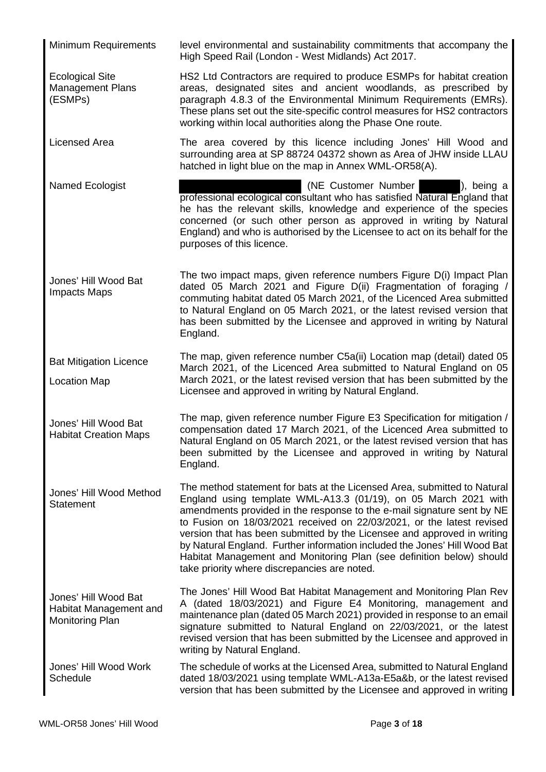Minimum Requirements level environmental and sustainability commitments that accompany the High Speed Rail (London - West Midlands) Act 2017. Ecological Site Management Plans (ESMPs) HS2 Ltd Contractors are required to produce ESMPs for habitat creation areas, designated sites and ancient woodlands, as prescribed by paragraph 4.8.3 of the Environmental Minimum Requirements (EMRs). These plans set out the site-specific control measures for HS2 contractors working within local authorities along the Phase One route. Licensed Area **The area covered by this licence including Jones' Hill Wood and** surrounding area at SP 88724 04372 shown as Area of JHW inside LLAU hatched in light blue on the map in Annex WML-OR58(A). Named Ecologist **Contains a Container in the Customer Number 1** (NE Customer Number 1, being a professional ecological consultant who has satisfied Natural England that he has the relevant skills, knowledge and experience of the species concerned (or such other person as approved in writing by Natural England) and who is authorised by the Licensee to act on its behalf for the purposes of this licence. Jones' Hill Wood Bat Impacts Maps The two impact maps, given reference numbers Figure D(i) Impact Plan dated 05 March 2021 and Figure D(ii) Fragmentation of foraging commuting habitat dated 05 March 2021, of the Licenced Area submitted to Natural England on 05 March 2021, or the latest revised version that has been submitted by the Licensee and approved in writing by Natural England. Bat Mitigation Licence Location Map The map, given reference number C5a(ii) Location map (detail) dated 05 March 2021, of the Licenced Area submitted to Natural England on 05 March 2021, or the latest revised version that has been submitted by the Licensee and approved in writing by Natural England. Jones' Hill Wood Bat Habitat Creation Maps The map, given reference number Figure E3 Specification for mitigation / compensation dated 17 March 2021, of the Licenced Area submitted to Natural England on 05 March 2021, or the latest revised version that has been submitted by the Licensee and approved in writing by Natural England. Jones' Hill Wood Method **Statement** The method statement for bats at the Licensed Area, submitted to Natural England using template WML-A13.3 (01/19), on 05 March 2021 with amendments provided in the response to the e-mail signature sent by NE to Fusion on 18/03/2021 received on 22/03/2021, or the latest revised version that has been submitted by the Licensee and approved in writing by Natural England. Further information included the Jones' Hill Wood Bat Habitat Management and Monitoring Plan (see definition below) should take priority where discrepancies are noted. Jones' Hill Wood Bat Habitat Management and Monitoring Plan The Jones' Hill Wood Bat Habitat Management and Monitoring Plan Rev A (dated 18/03/2021) and Figure E4 Monitoring, management and maintenance plan (dated 05 March 2021) provided in response to an email signature submitted to Natural England on 22/03/2021, or the latest revised version that has been submitted by the Licensee and approved in writing by Natural England. Jones' Hill Wood Work **Schedule** The schedule of works at the Licensed Area, submitted to Natural England dated 18/03/2021 using template WML-A13a-E5a&b, or the latest revised version that has been submitted by the Licensee and approved in writing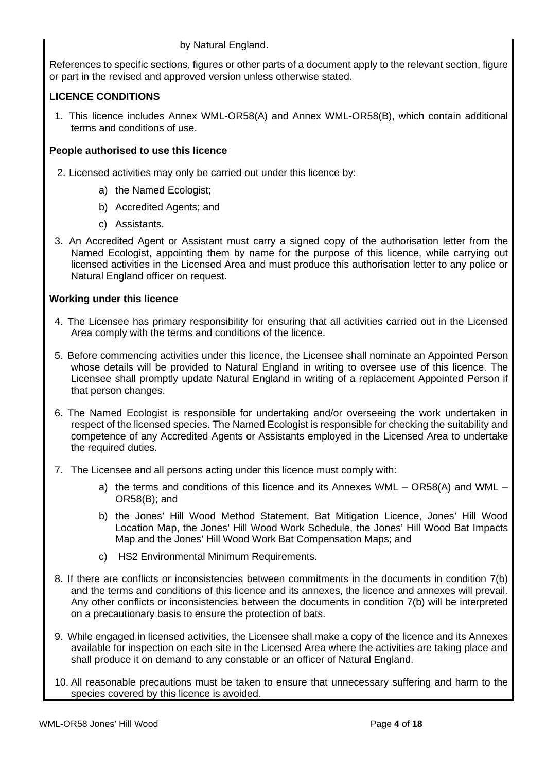## by Natural England.

References to specific sections, figures or other parts of a document apply to the relevant section, figure or part in the revised and approved version unless otherwise stated.

# **LICENCE CONDITIONS**

1. This licence includes Annex WML-OR58(A) and Annex WML-OR58(B), which contain additional terms and conditions of use.

# **People authorised to use this licence**

- 2. Licensed activities may only be carried out under this licence by:
	- a) the Named Ecologist;
	- b) Accredited Agents; and
	- c) Assistants.
- 3. An Accredited Agent or Assistant must carry a signed copy of the authorisation letter from the Named Ecologist, appointing them by name for the purpose of this licence, while carrying out licensed activities in the Licensed Area and must produce this authorisation letter to any police or Natural England officer on request.

# **Working under this licence**

- 4. The Licensee has primary responsibility for ensuring that all activities carried out in the Licensed Area comply with the terms and conditions of the licence.
- 5. Before commencing activities under this licence, the Licensee shall nominate an Appointed Person whose details will be provided to Natural England in writing to oversee use of this licence. The Licensee shall promptly update Natural England in writing of a replacement Appointed Person if that person changes.
- 6. The Named Ecologist is responsible for undertaking and/or overseeing the work undertaken in respect of the licensed species. The Named Ecologist is responsible for checking the suitability and competence of any Accredited Agents or Assistants employed in the Licensed Area to undertake the required duties.
- 7. The Licensee and all persons acting under this licence must comply with:
	- a) the terms and conditions of this licence and its Annexes WML OR58(A) and WML OR58(B); and
	- b) the Jones' Hill Wood Method Statement, Bat Mitigation Licence, Jones' Hill Wood Location Map, the Jones' Hill Wood Work Schedule, the Jones' Hill Wood Bat Impacts Map and the Jones' Hill Wood Work Bat Compensation Maps; and
	- c) HS2 Environmental Minimum Requirements.
- 8. If there are conflicts or inconsistencies between commitments in the documents in condition 7(b) and the terms and conditions of this licence and its annexes, the licence and annexes will prevail. Any other conflicts or inconsistencies between the documents in condition 7(b) will be interpreted on a precautionary basis to ensure the protection of bats.
- 9. While engaged in licensed activities, the Licensee shall make a copy of the licence and its Annexes available for inspection on each site in the Licensed Area where the activities are taking place and shall produce it on demand to any constable or an officer of Natural England.
- 10. All reasonable precautions must be taken to ensure that unnecessary suffering and harm to the species covered by this licence is avoided.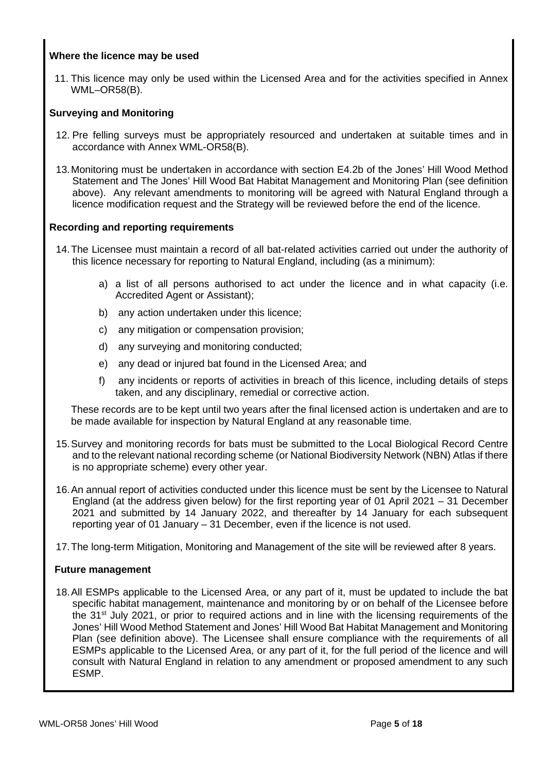## **Where the licence may be used**

11. This licence may only be used within the Licensed Area and for the activities specified in Annex WML–OR58(B).

### **Surveying and Monitoring**

- 12. Pre felling surveys must be appropriately resourced and undertaken at suitable times and in accordance with Annex WML-OR58(B).
- 13.Monitoring must be undertaken in accordance with section E4.2b of the Jones' Hill Wood Method Statement and The Jones' Hill Wood Bat Habitat Management and Monitoring Plan (see definition above). Any relevant amendments to monitoring will be agreed with Natural England through a licence modification request and the Strategy will be reviewed before the end of the licence.

### **Recording and reporting requirements**

- 14.The Licensee must maintain a record of all bat-related activities carried out under the authority of this licence necessary for reporting to Natural England, including (as a minimum):
	- a) a list of all persons authorised to act under the licence and in what capacity (i.e. Accredited Agent or Assistant);
	- b) any action undertaken under this licence;
	- c) any mitigation or compensation provision;
	- d) any surveying and monitoring conducted;
	- e) any dead or injured bat found in the Licensed Area; and
	- f) any incidents or reports of activities in breach of this licence, including details of steps taken, and any disciplinary, remedial or corrective action.

These records are to be kept until two years after the final licensed action is undertaken and are to be made available for inspection by Natural England at any reasonable time.

- 15.Survey and monitoring records for bats must be submitted to the Local Biological Record Centre and to the relevant national recording scheme (or National Biodiversity Network (NBN) Atlas if there is no appropriate scheme) every other year.
- 16.An annual report of activities conducted under this licence must be sent by the Licensee to Natural England (at the address given below) for the first reporting year of 01 April 2021 – 31 December 2021 and submitted by 14 January 2022, and thereafter by 14 January for each subsequent reporting year of 01 January – 31 December, even if the licence is not used.
- 17.The long-term Mitigation, Monitoring and Management of the site will be reviewed after 8 years.

### **Future management**

18.All ESMPs applicable to the Licensed Area, or any part of it, must be updated to include the bat specific habitat management, maintenance and monitoring by or on behalf of the Licensee before the 31<sup>st</sup> July 2021, or prior to required actions and in line with the licensing requirements of the Jones' Hill Wood Method Statement and Jones' Hill Wood Bat Habitat Management and Monitoring Plan (see definition above). The Licensee shall ensure compliance with the requirements of all ESMPs applicable to the Licensed Area, or any part of it, for the full period of the licence and will consult with Natural England in relation to any amendment or proposed amendment to any such ESMP.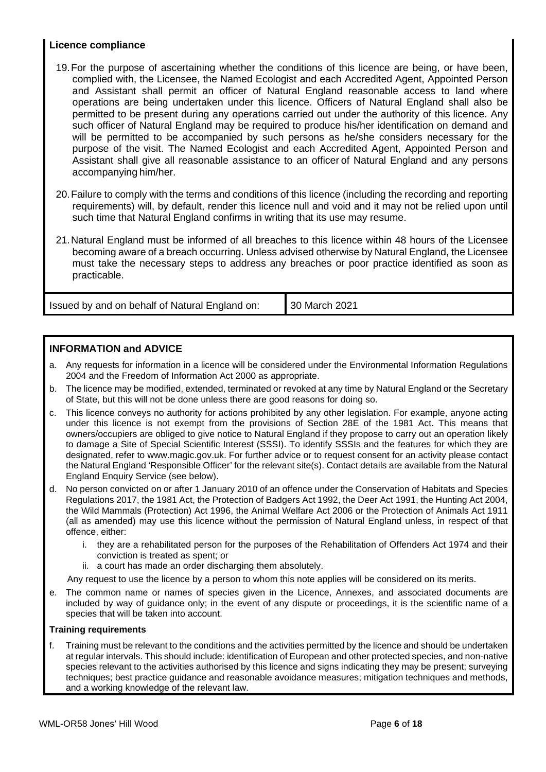## **Licence compliance**

- 19.For the purpose of ascertaining whether the conditions of this licence are being, or have been, complied with, the Licensee, the Named Ecologist and each Accredited Agent, Appointed Person and Assistant shall permit an officer of Natural England reasonable access to land where operations are being undertaken under this licence. Officers of Natural England shall also be permitted to be present during any operations carried out under the authority of this licence. Any such officer of Natural England may be required to produce his/her identification on demand and will be permitted to be accompanied by such persons as he/she considers necessary for the purpose of the visit. The Named Ecologist and each Accredited Agent, Appointed Person and Assistant shall give all reasonable assistance to an officer of Natural England and any persons accompanying him/her.
- 20.Failure to comply with the terms and conditions of this licence (including the recording and reporting requirements) will, by default, render this licence null and void and it may not be relied upon until such time that Natural England confirms in writing that its use may resume.
- 21.Natural England must be informed of all breaches to this licence within 48 hours of the Licensee becoming aware of a breach occurring. Unless advised otherwise by Natural England, the Licensee must take the necessary steps to address any breaches or poor practice identified as soon as practicable.

Issued by and on behalf of Natural England on: 30 March 2021

## **INFORMATION and ADVICE**

- a. Any requests for information in a licence will be considered under the Environmental Information Regulations 2004 and the Freedom of Information Act 2000 as appropriate.
- b. The licence may be modified, extended, terminated or revoked at any time by Natural England or the Secretary of State, but this will not be done unless there are good reasons for doing so.
- c. This licence conveys no authority for actions prohibited by any other legislation. For example, anyone acting under this licence is not exempt from the provisions of Section 28E of the 1981 Act. This means that owners/occupiers are obliged to give notice to Natural England if they propose to carry out an operation likely to damage a Site of Special Scientific Interest (SSSI). To identify SSSIs and the features for which they are designated, refer to www.magic.gov.uk. For further advice or to request consent for an activity please contact the Natural England 'Responsible Officer' for the relevant site(s). Contact details are available from the Natural England Enquiry Service (see below).
- d. No person convicted on or after 1 January 2010 of an offence under the Conservation of Habitats and Species Regulations 2017, the 1981 Act, the Protection of Badgers Act 1992, the Deer Act 1991, the Hunting Act 2004, the Wild Mammals (Protection) Act 1996, the Animal Welfare Act 2006 or the Protection of Animals Act 1911 (all as amended) may use this licence without the permission of Natural England unless, in respect of that offence, either:
	- i. they are a rehabilitated person for the purposes of the Rehabilitation of Offenders Act 1974 and their conviction is treated as spent; or
	- ii. a court has made an order discharging them absolutely.

Any request to use the licence by a person to whom this note applies will be considered on its merits.

e. The common name or names of species given in the Licence, Annexes, and associated documents are included by way of guidance only; in the event of any dispute or proceedings, it is the scientific name of a species that will be taken into account.

### **Training requirements**

f. Training must be relevant to the conditions and the activities permitted by the licence and should be undertaken at regular intervals. This should include: identification of European and other protected species, and non-native species relevant to the activities authorised by this licence and signs indicating they may be present; surveying techniques; best practice guidance and reasonable avoidance measures; mitigation techniques and methods, and a working knowledge of the relevant law.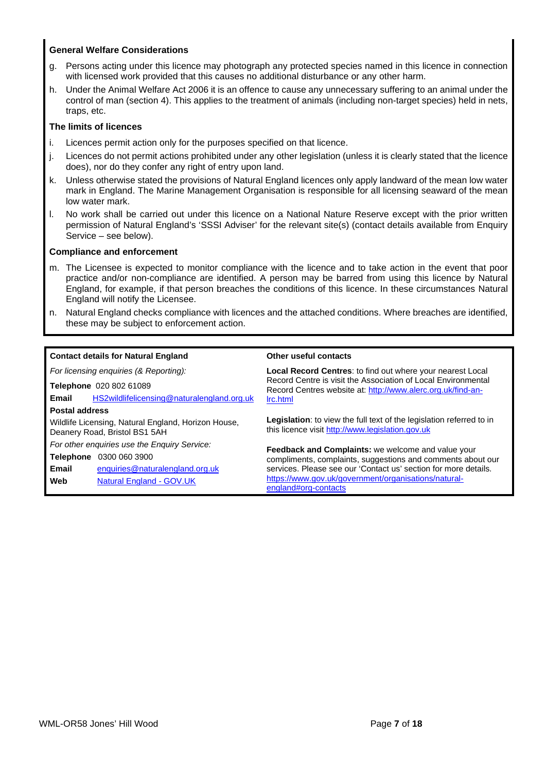#### **General Welfare Considerations**

- g. Persons acting under this licence may photograph any protected species named in this licence in connection with licensed work provided that this causes no additional disturbance or any other harm.
- h. Under the Animal Welfare Act 2006 it is an offence to cause any unnecessary suffering to an animal under the control of man (section 4). This applies to the treatment of animals (including non-target species) held in nets, traps, etc.

#### **The limits of licences**

- i. Licences permit action only for the purposes specified on that licence.
- j. Licences do not permit actions prohibited under any other legislation (unless it is clearly stated that the licence does), nor do they confer any right of entry upon land.
- k. Unless otherwise stated the provisions of Natural England licences only apply landward of the mean low water mark in England. The Marine Management Organisation is responsible for all licensing seaward of the mean low water mark.
- l. No work shall be carried out under this licence on a National Nature Reserve except with the prior written permission of Natural England's 'SSSI Adviser' for the relevant site(s) (contact details available from Enquiry Service – see below).

#### **Compliance and enforcement**

- m. The Licensee is expected to monitor compliance with the licence and to take action in the event that poor practice and/or non-compliance are identified. A person may be barred from using this licence by Natural England, for example, if that person breaches the conditions of this licence. In these circumstances Natural England will notify the Licensee.
- n. Natural England checks compliance with licences and the attached conditions. Where breaches are identified, these may be subject to enforcement action.

|                       | <b>Contact details for Natural England</b>                                           | Other useful contacts                                                                                                                                                                             |  |  |  |  |
|-----------------------|--------------------------------------------------------------------------------------|---------------------------------------------------------------------------------------------------------------------------------------------------------------------------------------------------|--|--|--|--|
|                       | For licensing enquiries (& Reporting):                                               | <b>Local Record Centres:</b> to find out where your nearest Local<br>Record Centre is visit the Association of Local Environmental<br>Record Centres website at: http://www.alerc.org.uk/find-an- |  |  |  |  |
|                       | Telephone 020 802 61089                                                              |                                                                                                                                                                                                   |  |  |  |  |
| Email                 | HS2wildlifelicensing@naturalengland.org.uk                                           | Irc.html                                                                                                                                                                                          |  |  |  |  |
| <b>Postal address</b> |                                                                                      |                                                                                                                                                                                                   |  |  |  |  |
|                       | Wildlife Licensing, Natural England, Horizon House,<br>Deanery Road, Bristol BS1 5AH | <b>Legislation:</b> to view the full text of the legislation referred to in<br>this licence visit http://www.legislation.gov.uk                                                                   |  |  |  |  |
|                       | For other enquiries use the Enquiry Service:                                         | <b>Feedback and Complaints:</b> we welcome and value your                                                                                                                                         |  |  |  |  |
| Telephone             | 0300 060 3900                                                                        | compliments, complaints, suggestions and comments about our                                                                                                                                       |  |  |  |  |
| Email                 | enquiries@naturalengland.org.uk                                                      | services. Please see our 'Contact us' section for more details.                                                                                                                                   |  |  |  |  |
| Web                   | <b>Natural England - GOV.UK</b>                                                      | https://www.gov.uk/government/organisations/natural-<br>england#org-contacts                                                                                                                      |  |  |  |  |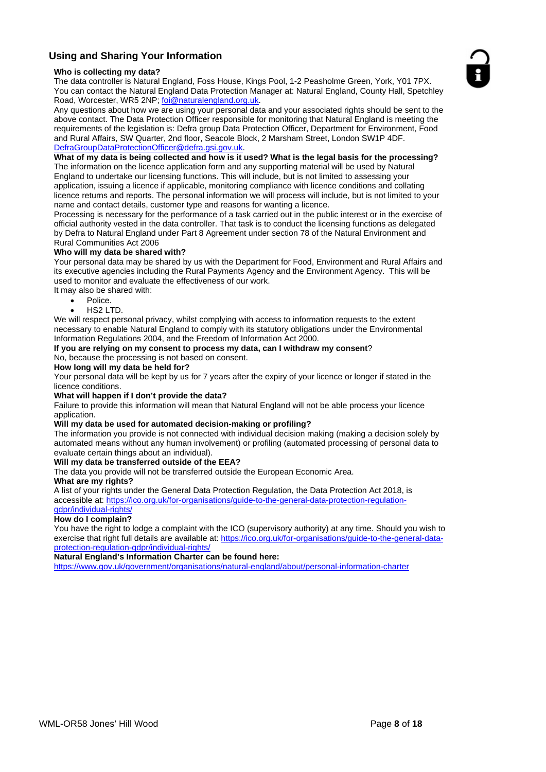# **Using and Sharing Your Information**

#### **Who is collecting my data?**

The data controller is Natural England, Foss House, Kings Pool, 1-2 Peasholme Green, York, Y01 7PX. You can contact the Natural England Data Protection Manager at: Natural England, County Hall, Spetchley Road, Worcester, WR5 2NP; foi@naturalengland.org.uk.

Any questions about how we are using your personal data and your associated rights should be sent to the above contact. The Data Protection Officer responsible for monitoring that Natural England is meeting the requirements of the legislation is: Defra group Data Protection Officer, Department for Environment, Food and Rural Affairs, SW Quarter, 2nd floor, Seacole Block, 2 Marsham Street, London SW1P 4DF. DefraGroupDataProtectionOfficer@defra.gsi.gov.uk.

#### **What of my data is being collected and how is it used? What is the legal basis for the processing?**

The information on the licence application form and any supporting material will be used by Natural England to undertake our licensing functions. This will include, but is not limited to assessing your application, issuing a licence if applicable, monitoring compliance with licence conditions and collating licence returns and reports. The personal information we will process will include, but is not limited to your name and contact details, customer type and reasons for wanting a licence.

Processing is necessary for the performance of a task carried out in the public interest or in the exercise of official authority vested in the data controller. That task is to conduct the licensing functions as delegated by Defra to Natural England under Part 8 Agreement under section 78 of the Natural Environment and Rural Communities Act 2006

#### **Who will my data be shared with?**

Your personal data may be shared by us with the Department for Food, Environment and Rural Affairs and its executive agencies including the Rural Payments Agency and the Environment Agency. This will be used to monitor and evaluate the effectiveness of our work.

- It may also be shared with:
	- Police.
	- HS2 LTD.

We will respect personal privacy, whilst complying with access to information requests to the extent necessary to enable Natural England to comply with its statutory obligations under the Environmental Information Regulations 2004, and the Freedom of Information Act 2000.

#### **If you are relying on my consent to process my data, can I withdraw my consent**? No, because the processing is not based on consent.

**How long will my data be held for?**

Your personal data will be kept by us for 7 years after the expiry of your licence or longer if stated in the licence conditions.

#### **What will happen if I don't provide the data?**

Failure to provide this information will mean that Natural England will not be able process your licence application.

#### **Will my data be used for automated decision-making or profiling?**

The information you provide is not connected with individual decision making (making a decision solely by automated means without any human involvement) or profiling (automated processing of personal data to evaluate certain things about an individual).

#### **Will my data be transferred outside of the EEA?**

The data you provide will not be transferred outside the European Economic Area.

#### **What are my rights?**

A list of your rights under the General Data Protection Regulation, the Data Protection Act 2018, is accessible at: https://ico.org.uk/for-organisations/guide-to-the-general-data-protection-regulationgdpr/individual-rights/

#### **How do I complain?**

You have the right to lodge a complaint with the ICO (supervisory authority) at any time. Should you wish to exercise that right full details are available at: https://ico.org.uk/for-organisations/guide-to-the-general-dataprotection-regulation-gdpr/individual-rights/

### **Natural England's Information Charter can be found here:**

https://www.gov.uk/government/organisations/natural-england/about/personal-information-charter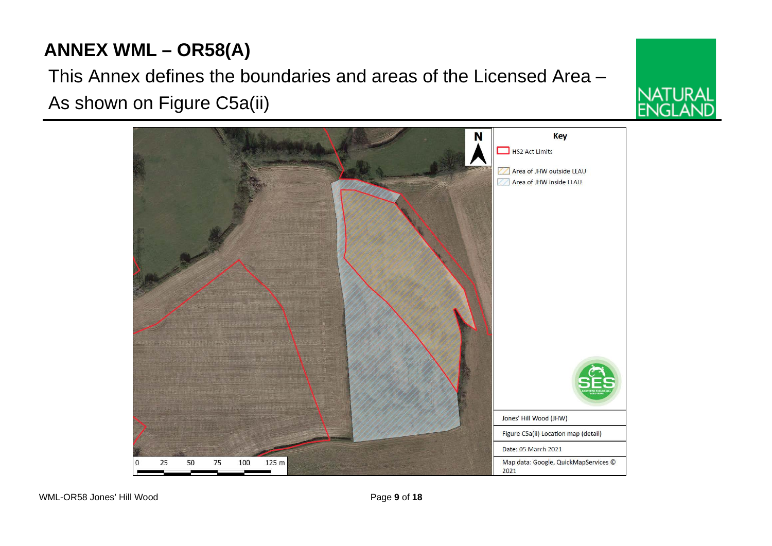# **ANNEX WML – OR58(A)**

This Annex defines the boundaries and areas of the Licensed Area – As shown on Figure C5a(ii)



IATI IRAI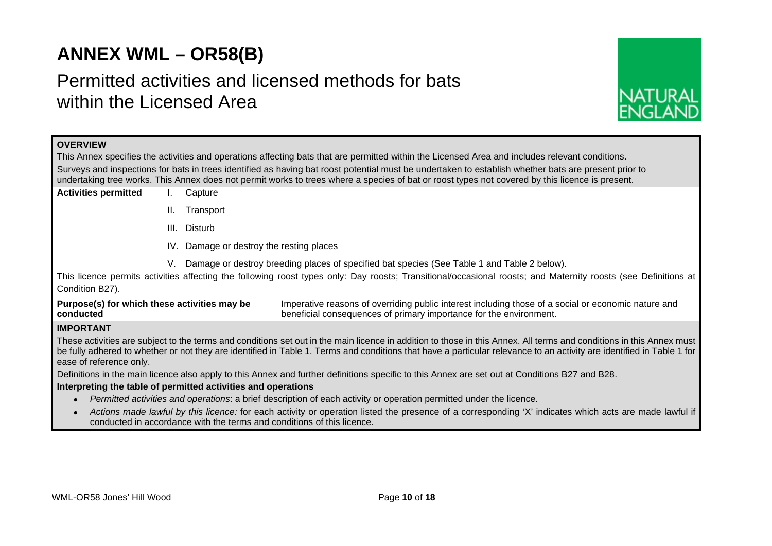# **ANNEX WML – OR58(B)**

# Permitted activities and licensed methods for bats within the Licensed Area



### **OVERVIEW**

This Annex specifies the activities and operations affecting bats that are permitted within the Licensed Area and includes relevant conditions. Surveys and inspections for bats in trees identified as having bat roost potential must be undertaken to establish whether bats are present prior to undertaking tree works. This Annex does not permit works to trees where a species of bat or roost types not covered by this licence is present.

- **Activities permitted** I. Capture
	- II. Transport
	- III. Disturb
	- IV. Damage or destroy the resting places
	- V. Damage or destroy breeding places of specified bat species (See Table 1 and Table 2 below).

This licence permits activities affecting the following roost types only: Day roosts; Transitional/occasional roosts; and Maternity roosts (see Definitions at Condition B27).

**Purpose(s) for which these activities may be conducted** Imperative reasons of overriding public interest including those of a social or economic nature and beneficial consequences of primary importance for the environment.

# **IMPORTANT**

These activities are subject to the terms and conditions set out in the main licence in addition to those in this Annex. All terms and conditions in this Annex must be fully adhered to whether or not they are identified in Table 1. Terms and conditions that have a particular relevance to an activity are identified in Table 1 for ease of reference only.

Definitions in the main licence also apply to this Annex and further definitions specific to this Annex are set out at Conditions B27 and B28.

#### **Interpreting the table of permitted activities and operations**

- *Permitted activities and operations*: a brief description of each activity or operation permitted under the licence.
- *Actions made lawful by this licence:* for each activity or operation listed the presence of a corresponding 'X' indicates which acts are made lawful if conducted in accordance with the terms and conditions of this licence.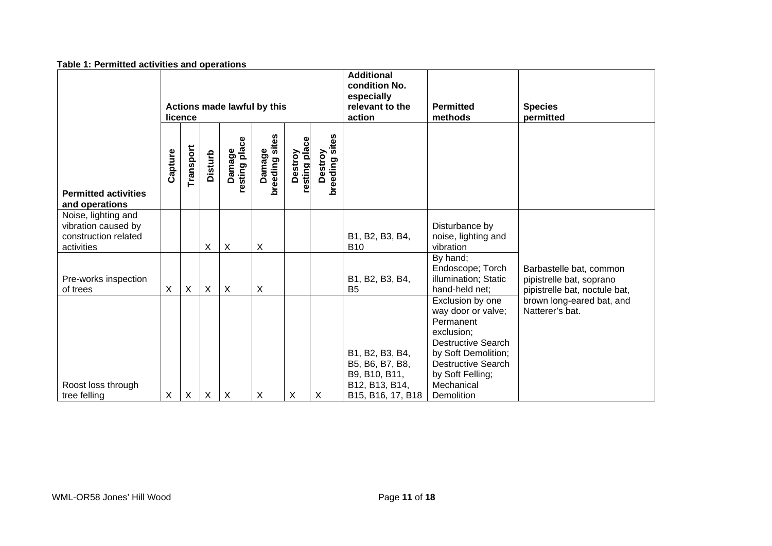| <b>Table 1. Permitted activities and operations</b>                              |                                        |                           |                |                           |                          |                          |                           |                                                                                            |                                                                                                                                                                                                    |                                                                                      |  |
|----------------------------------------------------------------------------------|----------------------------------------|---------------------------|----------------|---------------------------|--------------------------|--------------------------|---------------------------|--------------------------------------------------------------------------------------------|----------------------------------------------------------------------------------------------------------------------------------------------------------------------------------------------------|--------------------------------------------------------------------------------------|--|
|                                                                                  | Actions made lawful by this<br>licence |                           |                |                           |                          |                          |                           | <b>Additional</b><br>condition No.<br>especially<br>relevant to the<br>action              | <b>Permitted</b><br>methods                                                                                                                                                                        | <b>Species</b><br>permitted                                                          |  |
| <b>Permitted activities</b><br>and operations                                    | Capture                                | Transport                 | <b>Disturb</b> | resting place<br>Damage   | Damage<br>breeding sites | resting place<br>Destroy | Destroy<br>breeding sites |                                                                                            |                                                                                                                                                                                                    |                                                                                      |  |
| Noise, lighting and<br>vibration caused by<br>construction related<br>activities |                                        |                           | X              | X                         | X                        |                          |                           | B1, B2, B3, B4,<br><b>B10</b>                                                              | Disturbance by<br>noise, lighting and<br>vibration                                                                                                                                                 |                                                                                      |  |
| Pre-works inspection<br>of trees                                                 | X                                      | $\boldsymbol{\mathsf{X}}$ | X              | $\boldsymbol{\mathsf{X}}$ | X                        |                          |                           | B1, B2, B3, B4,<br>B <sub>5</sub>                                                          | By hand;<br>Endoscope; Torch<br>illumination; Static<br>hand-held net;                                                                                                                             | Barbastelle bat, common<br>pipistrelle bat, soprano<br>pipistrelle bat, noctule bat, |  |
| Roost loss through<br>tree felling                                               | X                                      | $\times$                  | X              | X                         | X                        | X                        | X                         | B1, B2, B3, B4,<br>B5, B6, B7, B8,<br>B9, B10, B11,<br>B12, B13, B14,<br>B15, B16, 17, B18 | Exclusion by one<br>way door or valve;<br>Permanent<br>exclusion;<br><b>Destructive Search</b><br>by Soft Demolition;<br><b>Destructive Search</b><br>by Soft Felling;<br>Mechanical<br>Demolition | brown long-eared bat, and<br>Natterer's bat.                                         |  |

#### **Table 1: Permitted activities and operations**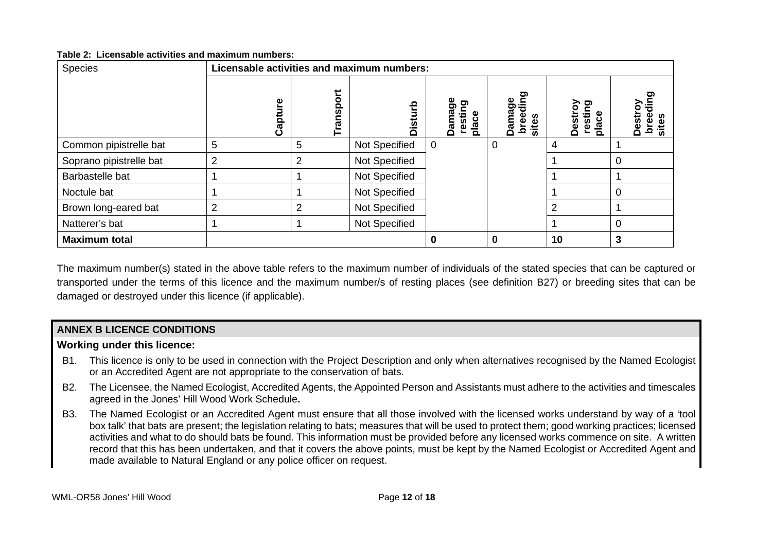#### **Table 2: Licensable activities and maximum numbers:**

| Species                 | Licensable activities and maximum numbers: |                |               |                                 |                                                      |                                    |                   |
|-------------------------|--------------------------------------------|----------------|---------------|---------------------------------|------------------------------------------------------|------------------------------------|-------------------|
|                         | Φ<br>Captul                                | ransport       | Disti         | Damage<br>פַ<br>restir<br>place | ဥ<br>Φ<br>튱<br>mag<br>ω<br>စ္ယ<br>Φ<br>ā<br>πā<br>்க | resting<br><b>Destroy</b><br>place | Φ<br>₫<br>.<br>ທີ |
| Common pipistrelle bat  | 5                                          | 5              | Not Specified | $\mathbf 0$                     | 0                                                    | 4                                  |                   |
| Soprano pipistrelle bat | $\overline{2}$                             | $\overline{2}$ | Not Specified |                                 |                                                      |                                    | 0                 |
| Barbastelle bat         |                                            |                | Not Specified |                                 |                                                      |                                    |                   |
| Noctule bat             |                                            |                | Not Specified |                                 |                                                      |                                    | $\Omega$          |
| Brown long-eared bat    | 2                                          | 2              | Not Specified |                                 |                                                      | $\mathfrak{p}$                     |                   |
| Natterer's bat          |                                            |                | Not Specified |                                 |                                                      |                                    | 0                 |
| <b>Maximum total</b>    |                                            |                |               | 0                               | 0                                                    | 10                                 | 3                 |

The maximum number(s) stated in the above table refers to the maximum number of individuals of the stated species that can be captured or transported under the terms of this licence and the maximum number/s of resting places (see definition B27) or breeding sites that can be damaged or destroyed under this licence (if applicable).

# **ANNEX B LICENCE CONDITIONS**

# **Working under this licence:**

- B1. This licence is only to be used in connection with the Project Description and only when alternatives recognised by the Named Ecologist or an Accredited Agent are not appropriate to the conservation of bats.
- B2. The Licensee, the Named Ecologist, Accredited Agents, the Appointed Person and Assistants must adhere to the activities and timescales agreed in the Jones' Hill Wood Work Schedule**.**
- B3. The Named Ecologist or an Accredited Agent must ensure that all those involved with the licensed works understand by way of a 'tool box talk' that bats are present; the legislation relating to bats; measures that will be used to protect them; good working practices; licensed activities and what to do should bats be found. This information must be provided before any licensed works commence on site. A written record that this has been undertaken, and that it covers the above points, must be kept by the Named Ecologist or Accredited Agent and made available to Natural England or any police officer on request.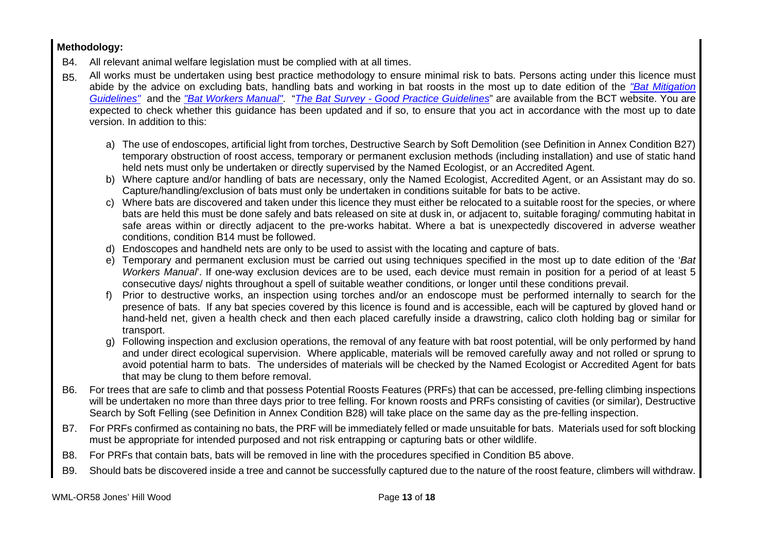# **Methodology:**

- B4. All relevant animal welfare legislation must be complied with at all times.
- B5. All works must be undertaken using best practice methodology to ensure minimal risk to bats. Persons acting under this licence must abide by the advice on excluding bats, handling bats and working in bat roosts in the most up to date edition of the *"Bat Mitigation Guidelines"* and the *"Bat Workers Manual"*. "*The Bat Survey - Good Practice Guidelines*" are available from the BCT website. You are expected to check whether this guidance has been updated and if so, to ensure that you act in accordance with the most up to date version. In addition to this:
	- a) The use of endoscopes, artificial light from torches, Destructive Search by Soft Demolition (see Definition in Annex Condition B27) temporary obstruction of roost access, temporary or permanent exclusion methods (including installation) and use of static hand held nets must only be undertaken or directly supervised by the Named Ecologist, or an Accredited Agent.
	- b) Where capture and/or handling of bats are necessary, only the Named Ecologist, Accredited Agent, or an Assistant may do so. Capture/handling/exclusion of bats must only be undertaken in conditions suitable for bats to be active.
	- c) Where bats are discovered and taken under this licence they must either be relocated to a suitable roost for the species, or where bats are held this must be done safely and bats released on site at dusk in, or adjacent to, suitable foraging/ commuting habitat in safe areas within or directly adjacent to the pre-works habitat. Where a bat is unexpectedly discovered in adverse weather conditions, condition B14 must be followed.
	- d) Endoscopes and handheld nets are only to be used to assist with the locating and capture of bats.
	- e) Temporary and permanent exclusion must be carried out using techniques specified in the most up to date edition of the '*Bat Workers Manual*'. If one-way exclusion devices are to be used, each device must remain in position for a period of at least 5 consecutive days/ nights throughout a spell of suitable weather conditions, or longer until these conditions prevail.
	- f) Prior to destructive works, an inspection using torches and/or an endoscope must be performed internally to search for the presence of bats. If any bat species covered by this licence is found and is accessible, each will be captured by gloved hand or hand-held net, given a health check and then each placed carefully inside a drawstring, calico cloth holding bag or similar for transport.
	- g) Following inspection and exclusion operations, the removal of any feature with bat roost potential, will be only performed by hand and under direct ecological supervision. Where applicable, materials will be removed carefully away and not rolled or sprung to avoid potential harm to bats. The undersides of materials will be checked by the Named Ecologist or Accredited Agent for bats that may be clung to them before removal.
- B6. For trees that are safe to climb and that possess Potential Roosts Features (PRFs) that can be accessed, pre-felling climbing inspections will be undertaken no more than three days prior to tree felling. For known roosts and PRFs consisting of cavities (or similar), Destructive Search by Soft Felling (see Definition in Annex Condition B28) will take place on the same day as the pre-felling inspection.
- B7. For PRFs confirmed as containing no bats, the PRF will be immediately felled or made unsuitable for bats. Materials used for soft blocking must be appropriate for intended purposed and not risk entrapping or capturing bats or other wildlife.
- B8. For PRFs that contain bats, bats will be removed in line with the procedures specified in Condition B5 above.
- B9. Should bats be discovered inside a tree and cannot be successfully captured due to the nature of the roost feature, climbers will withdraw.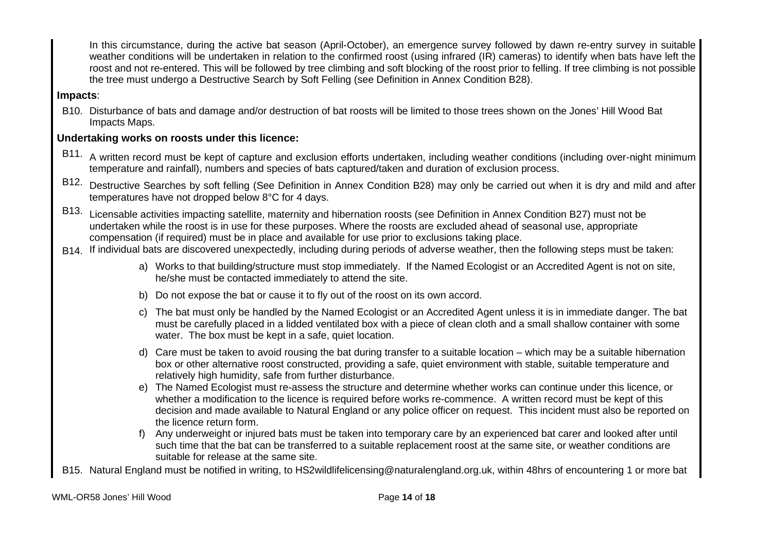In this circumstance, during the active bat season (April-October), an emergence survey followed by dawn re-entry survey in suitable weather conditions will be undertaken in relation to the confirmed roost (using infrared (IR) cameras) to identify when bats have left the roost and not re-entered. This will be followed by tree climbing and soft blocking of the roost prior to felling. If tree climbing is not possible the tree must undergo a Destructive Search by Soft Felling (see Definition in Annex Condition B28).

# **Impacts**:

B10. Disturbance of bats and damage and/or destruction of bat roosts will be limited to those trees shown on the Jones' Hill Wood Bat Impacts Maps.

# **Undertaking works on roosts under this licence:**

- B11. A written record must be kept of capture and exclusion efforts undertaken, including weather conditions (including over-night minimum temperature and rainfall), numbers and species of bats captured/taken and duration of exclusion process.
- B12. Destructive Searches by soft felling (See Definition in Annex Condition B28) may only be carried out when it is dry and mild and after temperatures have not dropped below 8°C for 4 days.
- B13. Licensable activities impacting satellite, maternity and hibernation roosts (see Definition in Annex Condition B27) must not be undertaken while the roost is in use for these purposes. Where the roosts are excluded ahead of seasonal use, appropriate compensation (if required) must be in place and available for use prior to exclusions taking place.
- B14. If individual bats are discovered unexpectedly, including during periods of adverse weather, then the following steps must be taken:
	- a) Works to that building/structure must stop immediately. If the Named Ecologist or an Accredited Agent is not on site, he/she must be contacted immediately to attend the site.
	- b) Do not expose the bat or cause it to fly out of the roost on its own accord.
	- c) The bat must only be handled by the Named Ecologist or an Accredited Agent unless it is in immediate danger. The bat must be carefully placed in a lidded ventilated box with a piece of clean cloth and a small shallow container with some water. The box must be kept in a safe, quiet location.
	- d) Care must be taken to avoid rousing the bat during transfer to a suitable location which may be a suitable hibernation box or other alternative roost constructed, providing a safe, quiet environment with stable, suitable temperature and relatively high humidity, safe from further disturbance.
	- e) The Named Ecologist must re-assess the structure and determine whether works can continue under this licence, or whether a modification to the licence is required before works re-commence. A written record must be kept of this decision and made available to Natural England or any police officer on request. This incident must also be reported on the licence return form.
	- f) Any underweight or injured bats must be taken into temporary care by an experienced bat carer and looked after until such time that the bat can be transferred to a suitable replacement roost at the same site, or weather conditions are suitable for release at the same site.
- B15. Natural England must be notified in writing, to HS2wildlifelicensing@naturalengland.org.uk, within 48hrs of encountering 1 or more bat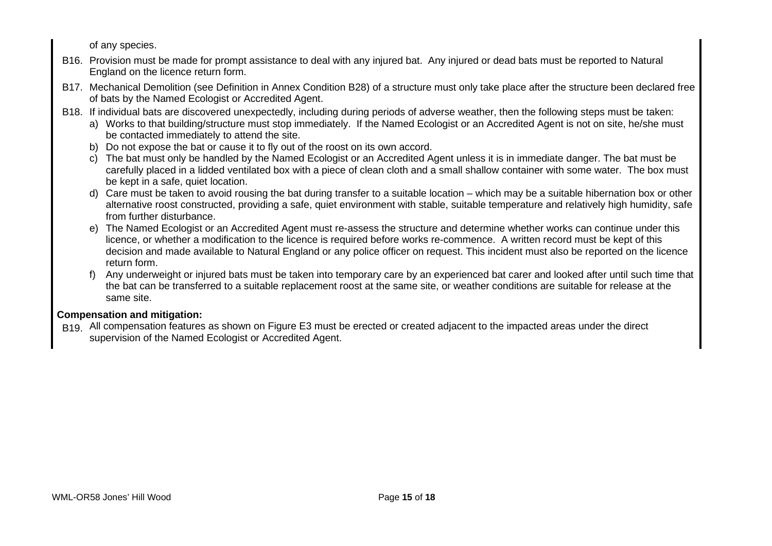of any species.

- B16. Provision must be made for prompt assistance to deal with any injured bat. Any injured or dead bats must be reported to Natural England on the licence return form.
- B17. Mechanical Demolition (see Definition in Annex Condition B28) of a structure must only take place after the structure been declared free of bats by the Named Ecologist or Accredited Agent.
- B18. If individual bats are discovered unexpectedly, including during periods of adverse weather, then the following steps must be taken:
	- a) Works to that building/structure must stop immediately. If the Named Ecologist or an Accredited Agent is not on site, he/she must be contacted immediately to attend the site.
	- b) Do not expose the bat or cause it to fly out of the roost on its own accord.
	- c) The bat must only be handled by the Named Ecologist or an Accredited Agent unless it is in immediate danger. The bat must be carefully placed in a lidded ventilated box with a piece of clean cloth and a small shallow container with some water. The box must be kept in a safe, quiet location.
	- d) Care must be taken to avoid rousing the bat during transfer to a suitable location which may be a suitable hibernation box or other alternative roost constructed, providing a safe, quiet environment with stable, suitable temperature and relatively high humidity, safe from further disturbance.
	- e) The Named Ecologist or an Accredited Agent must re-assess the structure and determine whether works can continue under this licence, or whether a modification to the licence is required before works re-commence. A written record must be kept of this decision and made available to Natural England or any police officer on request. This incident must also be reported on the licence return form.
	- f) Any underweight or injured bats must be taken into temporary care by an experienced bat carer and looked after until such time that the bat can be transferred to a suitable replacement roost at the same site, or weather conditions are suitable for release at the same site.

# **Compensation and mitigation:**

B19. All compensation features as shown on Figure E3 must be erected or created adjacent to the impacted areas under the direct supervision of the Named Ecologist or Accredited Agent.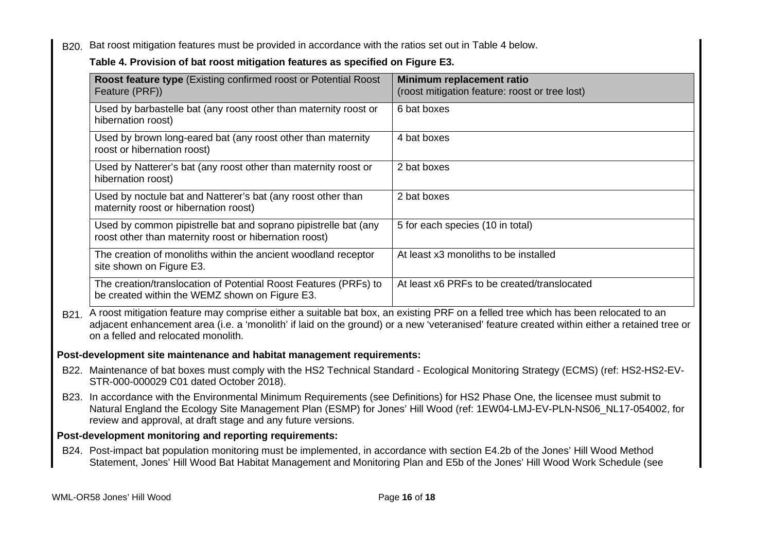B<sub>20.</sub> Bat roost mitigation features must be provided in accordance with the ratios set out in Table 4 below.

# **Table 4. Provision of bat roost mitigation features as specified on Figure E3.**

| <b>Roost feature type (Existing confirmed roost or Potential Roost)</b><br>Feature (PRF))                                                                                      | Minimum replacement ratio<br>(roost mitigation feature: roost or tree lost)                                                                 |
|--------------------------------------------------------------------------------------------------------------------------------------------------------------------------------|---------------------------------------------------------------------------------------------------------------------------------------------|
| Used by barbastelle bat (any roost other than maternity roost or<br>hibernation roost)                                                                                         | 6 bat boxes                                                                                                                                 |
| Used by brown long-eared bat (any roost other than maternity<br>roost or hibernation roost)                                                                                    | 4 bat boxes                                                                                                                                 |
| Used by Natterer's bat (any roost other than maternity roost or<br>hibernation roost)                                                                                          | 2 bat boxes                                                                                                                                 |
| Used by noctule bat and Natterer's bat (any roost other than<br>maternity roost or hibernation roost)                                                                          | 2 bat boxes                                                                                                                                 |
| Used by common pipistrelle bat and soprano pipistrelle bat (any<br>roost other than maternity roost or hibernation roost)                                                      | 5 for each species (10 in total)                                                                                                            |
| The creation of monoliths within the ancient woodland receptor<br>site shown on Figure E3.                                                                                     | At least x3 monoliths to be installed                                                                                                       |
| The creation/translocation of Potential Roost Features (PRFs) to<br>be created within the WEMZ shown on Figure E3.                                                             | At least x6 PRFs to be created/translocated                                                                                                 |
| B21. A roost mitigation feature may comprise either a suitable bat box, an existing PRF on a felled tree which has been relocated to an<br>on a felled and relocated monolith. | adjacent enhancement area (i.e. a 'monolith' if laid on the ground) or a new 'veteranised' feature created within either a retained tree or |
| Post-development site maintenance and habitat management requirements:                                                                                                         |                                                                                                                                             |
| B22. Maintenance of bat boxes must comply with the HS2 Technical Standard - Ecological Monitoring Strategy (ECMS) (ref: HS2-HS2-EV-<br>STR-000-000029 C01 dated October 2018). |                                                                                                                                             |

B23. In accordance with the Environmental Minimum Requirements (see Definitions) for HS2 Phase One, the licensee must submit to Natural England the Ecology Site Management Plan (ESMP) for Jones' Hill Wood (ref: 1EW04-LMJ-EV-PLN-NS06\_NL17-054002, for review and approval, at draft stage and any future versions.

# **Post-development monitoring and reporting requirements:**

B24. Post-impact bat population monitoring must be implemented, in accordance with section E4.2b of the Jones' Hill Wood Method Statement, Jones' Hill Wood Bat Habitat Management and Monitoring Plan and E5b of the Jones' Hill Wood Work Schedule (see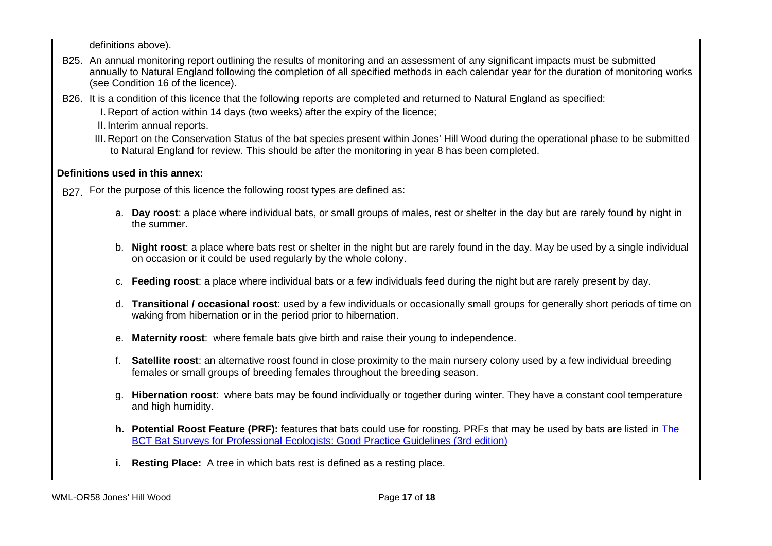definitions above).

- B25. An annual monitoring report outlining the results of monitoring and an assessment of any significant impacts must be submitted annually to Natural England following the completion of all specified methods in each calendar year for the duration of monitoring works (see Condition 16 of the licence).
- B26. It is a condition of this licence that the following reports are completed and returned to Natural England as specified:
	- I. Report of action within 14 days (two weeks) after the expiry of the licence;
	- II. Interim annual reports.
	- III. Report on the Conservation Status of the bat species present within Jones' Hill Wood during the operational phase to be submitted to Natural England for review. This should be after the monitoring in year 8 has been completed.

# **Definitions used in this annex:**

- B<sub>27</sub>. For the purpose of this licence the following roost types are defined as:
	- a. **Day roost**: a place where individual bats, or small groups of males, rest or shelter in the day but are rarely found by night in the summer.
	- b. **Night roost**: a place where bats rest or shelter in the night but are rarely found in the day. May be used by a single individual on occasion or it could be used regularly by the whole colony.
	- c. **Feeding roost**: a place where individual bats or a few individuals feed during the night but are rarely present by day.
	- d. **Transitional / occasional roost**: used by a few individuals or occasionally small groups for generally short periods of time on waking from hibernation or in the period prior to hibernation.
	- e. **Maternity roost**: where female bats give birth and raise their young to independence.
	- f. **Satellite roost**: an alternative roost found in close proximity to the main nursery colony used by a few individual breeding females or small groups of breeding females throughout the breeding season.
	- g. **Hibernation roost**: where bats may be found individually or together during winter. They have a constant cool temperature and high humidity.
	- **h. Potential Roost Feature (PRF):** features that bats could use for roosting. PRFs that may be used by bats are listed in The BCT Bat Surveys for Professional Ecologists: Good Practice Guidelines (3rd edition)
	- **i. Resting Place:** A tree in which bats rest is defined as a resting place.